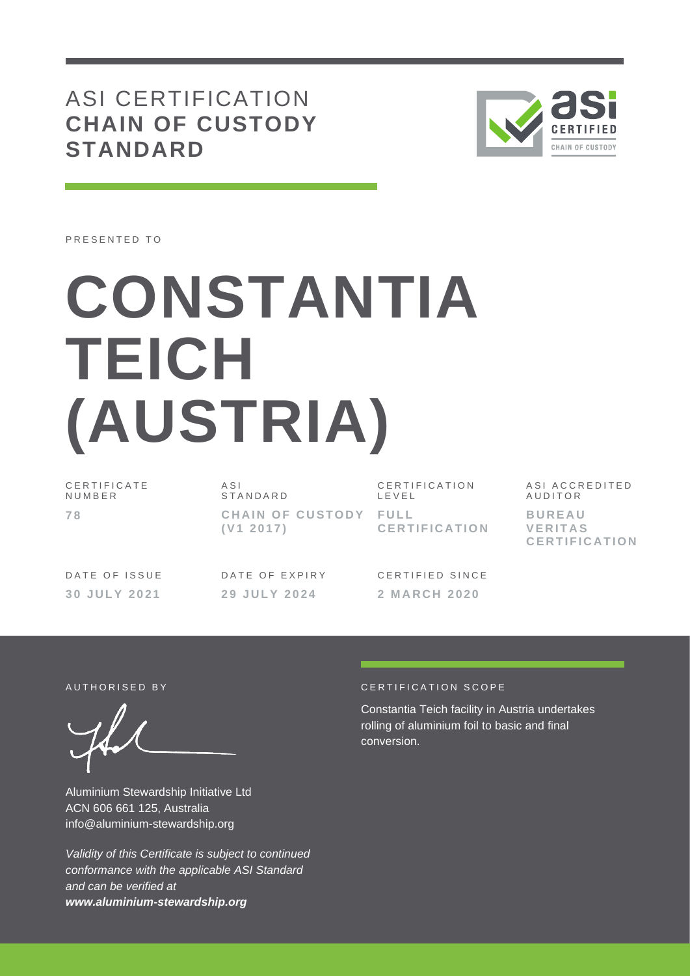## ASI CERTIFICATION **CHAIN OF CUSTODY STANDARD**



PRESENTED TO

# **CONSTANTIA TEICH (AUSTRIA)**

C E R T I F I C A T E **NUMBER 7 8**

A S I **STANDARD CHAIN OF CUSTODY FULL ( V1 2 0 1 7 )**

C E R T I F I C A T I O N L E V E L **C E R T I F I C A T I O N** A S I A C C R E D I T E D **AUDITOR B U R E A U V E R I T A S C E R T I F I C A T I O N**

DATE OF ISSUE **3 0 J U L Y 2 0 2 1**

DATE OF EXPIRY **2 9 J U L Y 202 4**

CERTIFIED SINCE **2 M A R C H 2 0 2 0**

Aluminium Stewardship Initiative Ltd ACN 606 661 125, Australia info@aluminium-stewardship.org

*Validity of this Certificate is subject to continued conformance with the applicable ASI Standard and can be verified at www.aluminium-stewardship.org*

#### A U T HORISED BY A LOCAL CERTIFICATION SCOPE

Constantia Teich facility in Austria undertakes rolling of aluminium foil to basic and final conversion.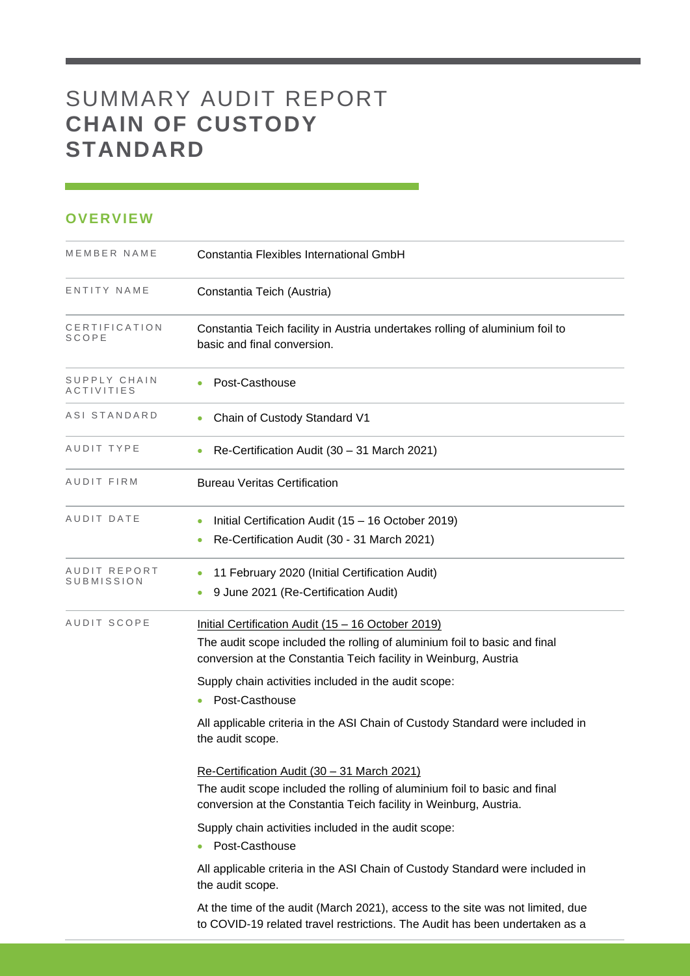## SUMMARY AUDIT REPORT **CHAIN OF CUSTODY STANDARD**

### **OVERVIEW**

| MEMBER NAME                | Constantia Flexibles International GmbH                                                                                                                                                                                                                                                                                                                                                                                                |
|----------------------------|----------------------------------------------------------------------------------------------------------------------------------------------------------------------------------------------------------------------------------------------------------------------------------------------------------------------------------------------------------------------------------------------------------------------------------------|
| ENTITY NAME                | Constantia Teich (Austria)                                                                                                                                                                                                                                                                                                                                                                                                             |
| CERTIFICATION<br>SCOPE     | Constantia Teich facility in Austria undertakes rolling of aluminium foil to<br>basic and final conversion.                                                                                                                                                                                                                                                                                                                            |
| SUPPLY CHAIN<br>ACTIVITIES | Post-Casthouse<br>$\bullet$                                                                                                                                                                                                                                                                                                                                                                                                            |
| ASI STANDARD               | Chain of Custody Standard V1<br>۰                                                                                                                                                                                                                                                                                                                                                                                                      |
| AUDIT TYPE                 | Re-Certification Audit (30 - 31 March 2021)                                                                                                                                                                                                                                                                                                                                                                                            |
| AUDIT FIRM                 | <b>Bureau Veritas Certification</b>                                                                                                                                                                                                                                                                                                                                                                                                    |
| AUDIT DATE                 | Initial Certification Audit (15 - 16 October 2019)<br>$\bullet$<br>Re-Certification Audit (30 - 31 March 2021)<br>$\bullet$                                                                                                                                                                                                                                                                                                            |
| AUDIT REPORT<br>SUBMISSION | 11 February 2020 (Initial Certification Audit)<br>$\bullet$<br>9 June 2021 (Re-Certification Audit)<br>$\bullet$                                                                                                                                                                                                                                                                                                                       |
| AUDIT SCOPE                | Initial Certification Audit (15 - 16 October 2019)<br>The audit scope included the rolling of aluminium foil to basic and final<br>conversion at the Constantia Teich facility in Weinburg, Austria<br>Supply chain activities included in the audit scope:<br>Post-Casthouse<br>۰<br>All applicable criteria in the ASI Chain of Custody Standard were included in<br>the audit scope.<br>Re-Certification Audit (30 - 31 March 2021) |
|                            | The audit scope included the rolling of aluminium foil to basic and final<br>conversion at the Constantia Teich facility in Weinburg, Austria.                                                                                                                                                                                                                                                                                         |
|                            | Supply chain activities included in the audit scope:<br>Post-Casthouse                                                                                                                                                                                                                                                                                                                                                                 |
|                            | All applicable criteria in the ASI Chain of Custody Standard were included in<br>the audit scope.                                                                                                                                                                                                                                                                                                                                      |
|                            | At the time of the audit (March 2021), access to the site was not limited, due<br>to COVID-19 related travel restrictions. The Audit has been undertaken as a                                                                                                                                                                                                                                                                          |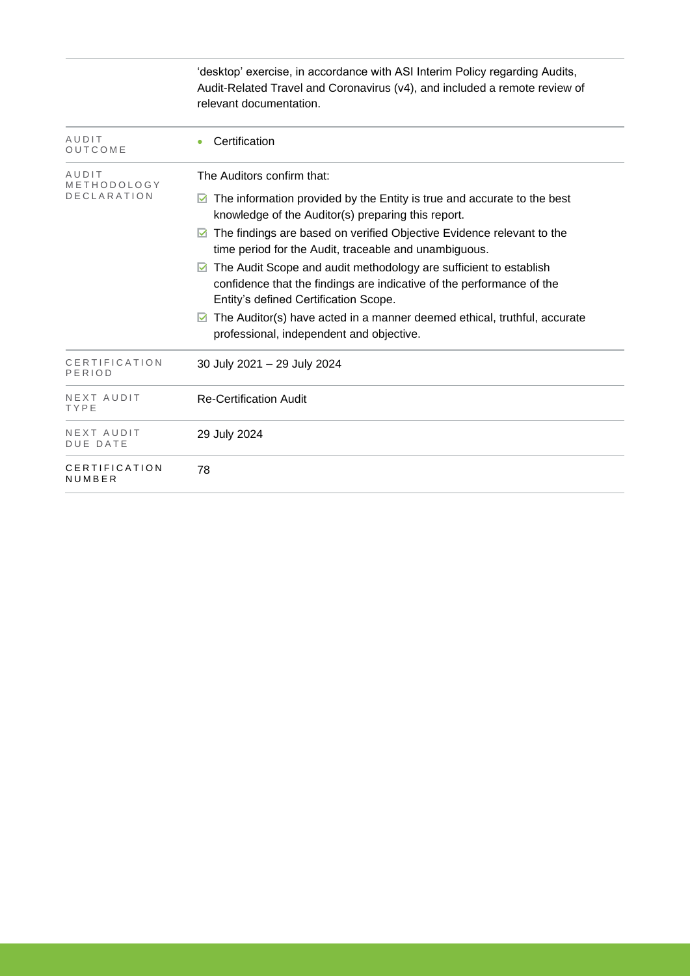|                               | 'desktop' exercise, in accordance with ASI Interim Policy regarding Audits,<br>Audit-Related Travel and Coronavirus (v4), and included a remote review of<br>relevant documentation.     |
|-------------------------------|------------------------------------------------------------------------------------------------------------------------------------------------------------------------------------------|
| AUDIT<br>OUTCOME              | Certification                                                                                                                                                                            |
| AUDIT<br>METHODOLOGY          | The Auditors confirm that:                                                                                                                                                               |
| <b>DECLARATION</b>            | The information provided by the Entity is true and accurate to the best<br>M<br>knowledge of the Auditor(s) preparing this report.                                                       |
|                               | The findings are based on verified Objective Evidence relevant to the<br>time period for the Audit, traceable and unambiguous.                                                           |
|                               | The Audit Scope and audit methodology are sufficient to establish<br>M<br>confidence that the findings are indicative of the performance of the<br>Entity's defined Certification Scope. |
|                               | The Auditor(s) have acted in a manner deemed ethical, truthful, accurate<br>⊻<br>professional, independent and objective.                                                                |
| CERTIFICATION<br>PERIOD       | 30 July 2021 - 29 July 2024                                                                                                                                                              |
| NEXT AUDIT<br>TYPE            | <b>Re-Certification Audit</b>                                                                                                                                                            |
| NEXT AUDIT<br><b>DUE DATE</b> | 29 July 2024                                                                                                                                                                             |
| CERTIFICATION<br>NUMBER       | 78                                                                                                                                                                                       |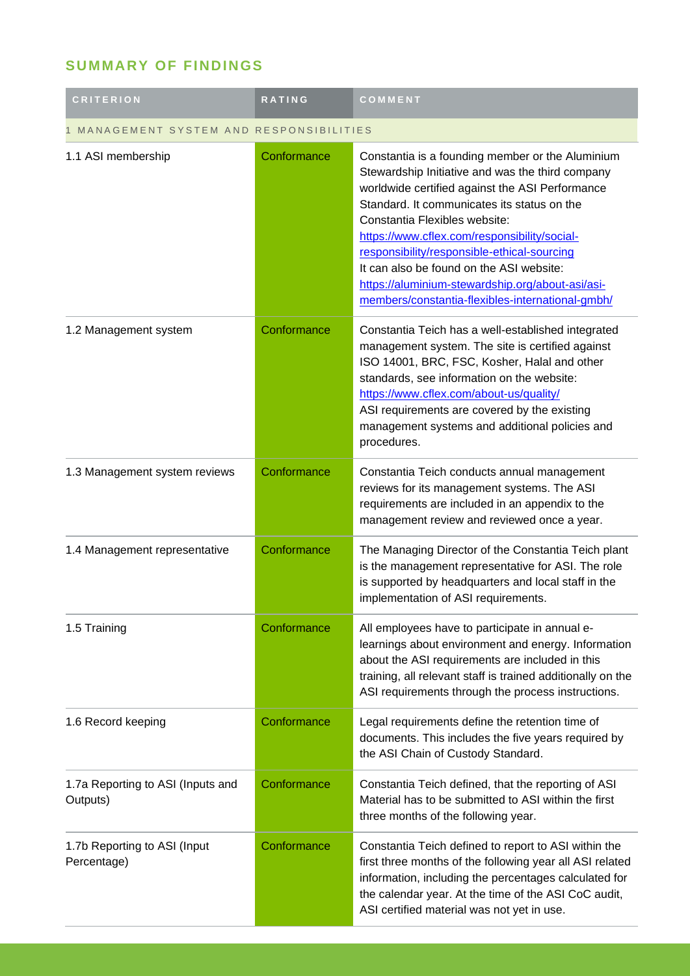## **SUMMARY OF FINDINGS**

| <b>CRITERION</b>                              | <b>RATING</b> | COMMENT                                                                                                                                                                                                                                                                                                                                                                                                                                                                                    |  |
|-----------------------------------------------|---------------|--------------------------------------------------------------------------------------------------------------------------------------------------------------------------------------------------------------------------------------------------------------------------------------------------------------------------------------------------------------------------------------------------------------------------------------------------------------------------------------------|--|
| MANAGEMENT SYSTEM AND RESPONSIBILITIES        |               |                                                                                                                                                                                                                                                                                                                                                                                                                                                                                            |  |
| 1.1 ASI membership                            | Conformance   | Constantia is a founding member or the Aluminium<br>Stewardship Initiative and was the third company<br>worldwide certified against the ASI Performance<br>Standard. It communicates its status on the<br>Constantia Flexibles website:<br>https://www.cflex.com/responsibility/social-<br>responsibility/responsible-ethical-sourcing<br>It can also be found on the ASI website:<br>https://aluminium-stewardship.org/about-asi/asi-<br>members/constantia-flexibles-international-gmbh/ |  |
| 1.2 Management system                         | Conformance   | Constantia Teich has a well-established integrated<br>management system. The site is certified against<br>ISO 14001, BRC, FSC, Kosher, Halal and other<br>standards, see information on the website:<br>https://www.cflex.com/about-us/quality/<br>ASI requirements are covered by the existing<br>management systems and additional policies and<br>procedures.                                                                                                                           |  |
| 1.3 Management system reviews                 | Conformance   | Constantia Teich conducts annual management<br>reviews for its management systems. The ASI<br>requirements are included in an appendix to the<br>management review and reviewed once a year.                                                                                                                                                                                                                                                                                               |  |
| 1.4 Management representative                 | Conformance   | The Managing Director of the Constantia Teich plant<br>is the management representative for ASI. The role<br>is supported by headquarters and local staff in the<br>implementation of ASI requirements.                                                                                                                                                                                                                                                                                    |  |
| 1.5 Training                                  | Conformance   | All employees have to participate in annual e-<br>learnings about environment and energy. Information<br>about the ASI requirements are included in this<br>training, all relevant staff is trained additionally on the<br>ASI requirements through the process instructions.                                                                                                                                                                                                              |  |
| 1.6 Record keeping                            | Conformance   | Legal requirements define the retention time of<br>documents. This includes the five years required by<br>the ASI Chain of Custody Standard.                                                                                                                                                                                                                                                                                                                                               |  |
| 1.7a Reporting to ASI (Inputs and<br>Outputs) | Conformance   | Constantia Teich defined, that the reporting of ASI<br>Material has to be submitted to ASI within the first<br>three months of the following year.                                                                                                                                                                                                                                                                                                                                         |  |
| 1.7b Reporting to ASI (Input<br>Percentage)   | Conformance   | Constantia Teich defined to report to ASI within the<br>first three months of the following year all ASI related<br>information, including the percentages calculated for<br>the calendar year. At the time of the ASI CoC audit,<br>ASI certified material was not yet in use.                                                                                                                                                                                                            |  |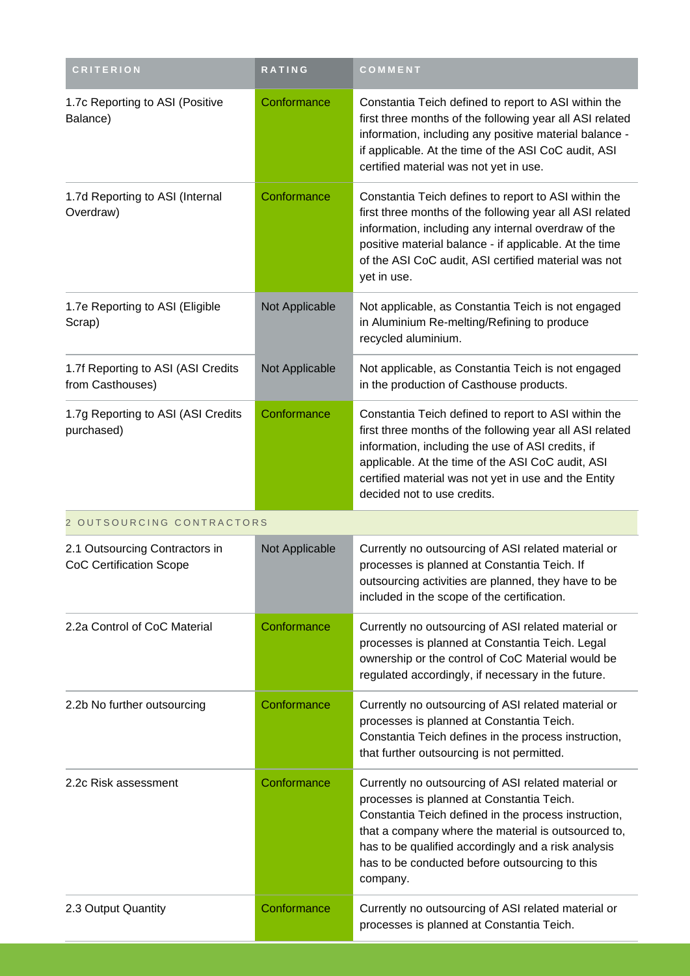| <b>CRITERION</b>                                                 | <b>RATING</b>  | COMMENT                                                                                                                                                                                                                                                                                                                              |  |  |
|------------------------------------------------------------------|----------------|--------------------------------------------------------------------------------------------------------------------------------------------------------------------------------------------------------------------------------------------------------------------------------------------------------------------------------------|--|--|
| 1.7c Reporting to ASI (Positive<br>Balance)                      | Conformance    | Constantia Teich defined to report to ASI within the<br>first three months of the following year all ASI related<br>information, including any positive material balance -<br>if applicable. At the time of the ASI CoC audit, ASI<br>certified material was not yet in use.                                                         |  |  |
| 1.7d Reporting to ASI (Internal<br>Overdraw)                     | Conformance    | Constantia Teich defines to report to ASI within the<br>first three months of the following year all ASI related<br>information, including any internal overdraw of the<br>positive material balance - if applicable. At the time<br>of the ASI CoC audit, ASI certified material was not<br>yet in use.                             |  |  |
| 1.7e Reporting to ASI (Eligible<br>Scrap)                        | Not Applicable | Not applicable, as Constantia Teich is not engaged<br>in Aluminium Re-melting/Refining to produce<br>recycled aluminium.                                                                                                                                                                                                             |  |  |
| 1.7f Reporting to ASI (ASI Credits<br>from Casthouses)           | Not Applicable | Not applicable, as Constantia Teich is not engaged<br>in the production of Casthouse products.                                                                                                                                                                                                                                       |  |  |
| 1.7g Reporting to ASI (ASI Credits<br>purchased)                 | Conformance    | Constantia Teich defined to report to ASI within the<br>first three months of the following year all ASI related<br>information, including the use of ASI credits, if<br>applicable. At the time of the ASI CoC audit, ASI<br>certified material was not yet in use and the Entity<br>decided not to use credits.                    |  |  |
| 2 OUTSOURCING CONTRACTORS                                        |                |                                                                                                                                                                                                                                                                                                                                      |  |  |
| 2.1 Outsourcing Contractors in<br><b>CoC Certification Scope</b> | Not Applicable | Currently no outsourcing of ASI related material or<br>processes is planned at Constantia Teich. If<br>outsourcing activities are planned, they have to be<br>included in the scope of the certification.                                                                                                                            |  |  |
| 2.2a Control of CoC Material                                     | Conformance    | Currently no outsourcing of ASI related material or<br>processes is planned at Constantia Teich. Legal<br>ownership or the control of CoC Material would be<br>regulated accordingly, if necessary in the future.                                                                                                                    |  |  |
| 2.2b No further outsourcing                                      | Conformance    | Currently no outsourcing of ASI related material or<br>processes is planned at Constantia Teich.<br>Constantia Teich defines in the process instruction,<br>that further outsourcing is not permitted.                                                                                                                               |  |  |
| 2.2c Risk assessment                                             | Conformance    | Currently no outsourcing of ASI related material or<br>processes is planned at Constantia Teich.<br>Constantia Teich defined in the process instruction,<br>that a company where the material is outsourced to,<br>has to be qualified accordingly and a risk analysis<br>has to be conducted before outsourcing to this<br>company. |  |  |
| 2.3 Output Quantity                                              | Conformance    | Currently no outsourcing of ASI related material or<br>processes is planned at Constantia Teich.                                                                                                                                                                                                                                     |  |  |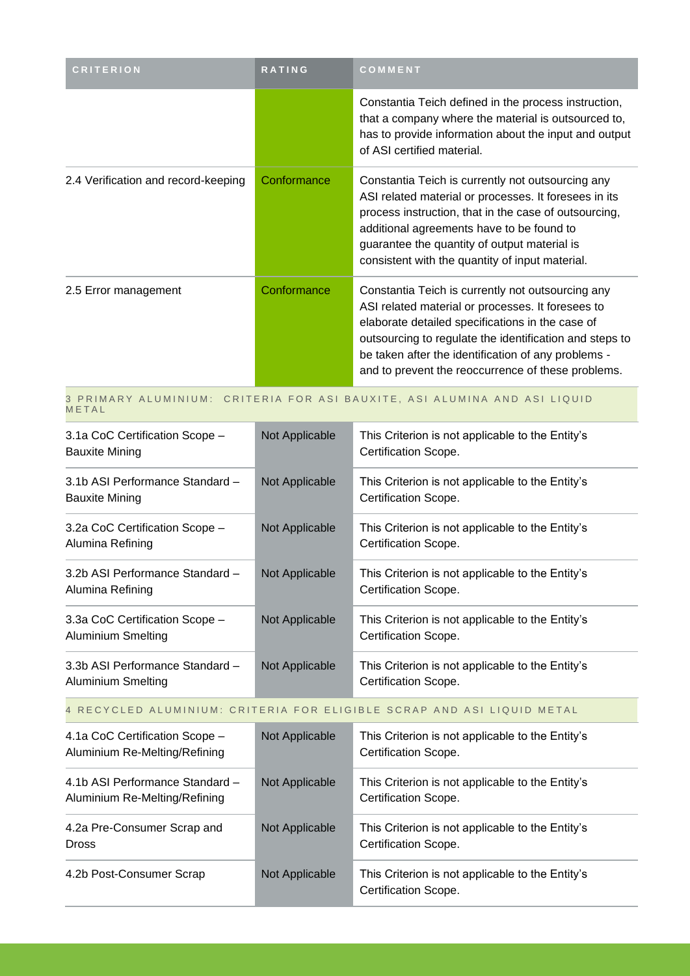| <b>CRITERION</b>                                                                   | <b>RATING</b>  | COMMENT                                                                                                                                                                                                                                                                                                                            |  |
|------------------------------------------------------------------------------------|----------------|------------------------------------------------------------------------------------------------------------------------------------------------------------------------------------------------------------------------------------------------------------------------------------------------------------------------------------|--|
|                                                                                    |                | Constantia Teich defined in the process instruction,<br>that a company where the material is outsourced to,<br>has to provide information about the input and output<br>of ASI certified material.                                                                                                                                 |  |
| 2.4 Verification and record-keeping                                                | Conformance    | Constantia Teich is currently not outsourcing any<br>ASI related material or processes. It foresees in its<br>process instruction, that in the case of outsourcing,<br>additional agreements have to be found to<br>guarantee the quantity of output material is<br>consistent with the quantity of input material.                |  |
| 2.5 Error management                                                               | Conformance    | Constantia Teich is currently not outsourcing any<br>ASI related material or processes. It foresees to<br>elaborate detailed specifications in the case of<br>outsourcing to regulate the identification and steps to<br>be taken after the identification of any problems -<br>and to prevent the reoccurrence of these problems. |  |
| 3 PRIMARY ALUMINIUM: CRITERIA FOR ASI BAUXITE, ASI ALUMINA AND ASI LIQUID<br>METAL |                |                                                                                                                                                                                                                                                                                                                                    |  |
| 3.1a CoC Certification Scope -<br><b>Bauxite Mining</b>                            | Not Applicable | This Criterion is not applicable to the Entity's<br>Certification Scope.                                                                                                                                                                                                                                                           |  |
| 3.1b ASI Performance Standard -<br><b>Bauxite Mining</b>                           | Not Applicable | This Criterion is not applicable to the Entity's<br>Certification Scope.                                                                                                                                                                                                                                                           |  |
| 3.2a CoC Certification Scope -<br>Alumina Refining                                 | Not Applicable | This Criterion is not applicable to the Entity's<br>Certification Scope.                                                                                                                                                                                                                                                           |  |
| 3.2b ASI Performance Standard -<br>Alumina Refining                                | Not Applicable | This Criterion is not applicable to the Entity's<br>Certification Scope.                                                                                                                                                                                                                                                           |  |
| 3.3a CoC Certification Scope -<br><b>Aluminium Smelting</b>                        | Not Applicable | This Criterion is not applicable to the Entity's<br>Certification Scope.                                                                                                                                                                                                                                                           |  |
| 3.3b ASI Performance Standard -<br>Aluminium Smelting                              | Not Applicable | This Criterion is not applicable to the Entity's<br>Certification Scope.                                                                                                                                                                                                                                                           |  |
| 4 RECYCLED ALUMINIUM: CRITERIA FOR ELIGIBLE SCRAP AND ASI LIQUID METAL             |                |                                                                                                                                                                                                                                                                                                                                    |  |
| 4.1a CoC Certification Scope -<br>Aluminium Re-Melting/Refining                    | Not Applicable | This Criterion is not applicable to the Entity's<br>Certification Scope.                                                                                                                                                                                                                                                           |  |
| 4.1b ASI Performance Standard -<br>Aluminium Re-Melting/Refining                   | Not Applicable | This Criterion is not applicable to the Entity's<br>Certification Scope.                                                                                                                                                                                                                                                           |  |
| 4.2a Pre-Consumer Scrap and<br>Dross                                               | Not Applicable | This Criterion is not applicable to the Entity's<br>Certification Scope.                                                                                                                                                                                                                                                           |  |
| 4.2b Post-Consumer Scrap                                                           | Not Applicable | This Criterion is not applicable to the Entity's<br>Certification Scope.                                                                                                                                                                                                                                                           |  |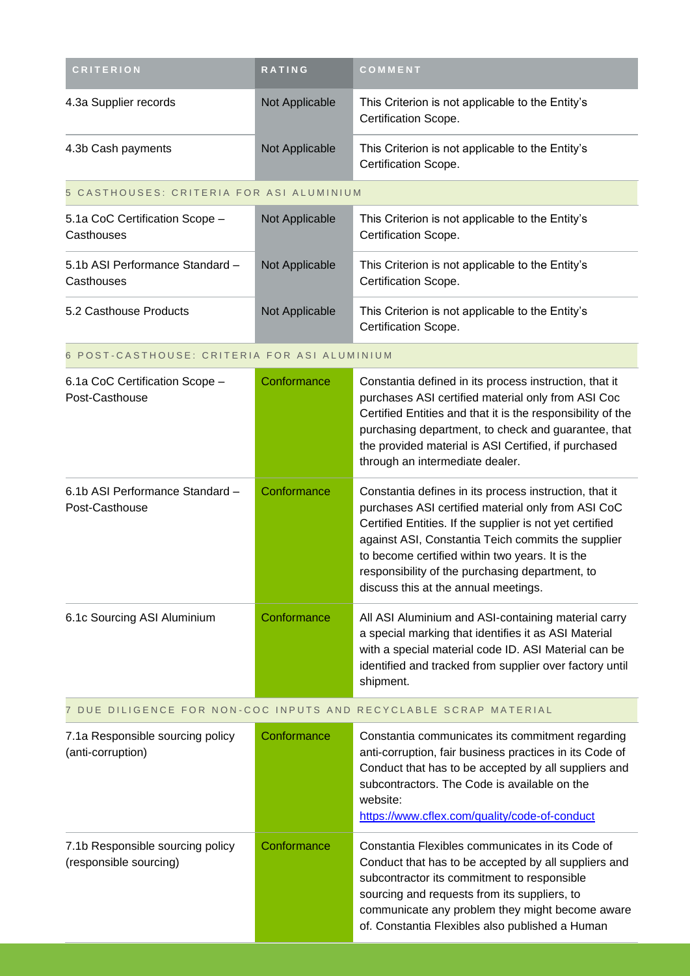| <b>CRITERION</b>                                           | RATING         | COMMENT                                                                                                                                                                                                                                                                                                                                                                      |
|------------------------------------------------------------|----------------|------------------------------------------------------------------------------------------------------------------------------------------------------------------------------------------------------------------------------------------------------------------------------------------------------------------------------------------------------------------------------|
| 4.3a Supplier records                                      | Not Applicable | This Criterion is not applicable to the Entity's<br>Certification Scope.                                                                                                                                                                                                                                                                                                     |
| 4.3b Cash payments                                         | Not Applicable | This Criterion is not applicable to the Entity's<br>Certification Scope.                                                                                                                                                                                                                                                                                                     |
| 5 CASTHOUSES: CRITERIA FOR ASI ALUMINIUM                   |                |                                                                                                                                                                                                                                                                                                                                                                              |
| 5.1a CoC Certification Scope -<br>Casthouses               | Not Applicable | This Criterion is not applicable to the Entity's<br>Certification Scope.                                                                                                                                                                                                                                                                                                     |
| 5.1b ASI Performance Standard -<br>Casthouses              | Not Applicable | This Criterion is not applicable to the Entity's<br>Certification Scope.                                                                                                                                                                                                                                                                                                     |
| 5.2 Casthouse Products                                     | Not Applicable | This Criterion is not applicable to the Entity's<br>Certification Scope.                                                                                                                                                                                                                                                                                                     |
| 6 POST-CASTHOUSE: CRITERIA FOR ASI ALUMINIUM               |                |                                                                                                                                                                                                                                                                                                                                                                              |
| 6.1a CoC Certification Scope -<br>Post-Casthouse           | Conformance    | Constantia defined in its process instruction, that it<br>purchases ASI certified material only from ASI Coc<br>Certified Entities and that it is the responsibility of the<br>purchasing department, to check and guarantee, that<br>the provided material is ASI Certified, if purchased<br>through an intermediate dealer.                                                |
| 6.1b ASI Performance Standard -<br>Post-Casthouse          | Conformance    | Constantia defines in its process instruction, that it<br>purchases ASI certified material only from ASI CoC<br>Certified Entities. If the supplier is not yet certified<br>against ASI, Constantia Teich commits the supplier<br>to become certified within two years. It is the<br>responsibility of the purchasing department, to<br>discuss this at the annual meetings. |
| 6.1c Sourcing ASI Aluminium                                | Conformance    | All ASI Aluminium and ASI-containing material carry<br>a special marking that identifies it as ASI Material<br>with a special material code ID. ASI Material can be<br>identified and tracked from supplier over factory until<br>shipment.                                                                                                                                  |
|                                                            |                | 7 DUE DILIGENCE FOR NON-COC INPUTS AND RECYCLABLE SCRAP MATERIAL                                                                                                                                                                                                                                                                                                             |
| 7.1a Responsible sourcing policy<br>(anti-corruption)      | Conformance    | Constantia communicates its commitment regarding<br>anti-corruption, fair business practices in its Code of<br>Conduct that has to be accepted by all suppliers and<br>subcontractors. The Code is available on the<br>website:<br>https://www.cflex.com/quality/code-of-conduct                                                                                             |
| 7.1b Responsible sourcing policy<br>(responsible sourcing) | Conformance    | Constantia Flexibles communicates in its Code of<br>Conduct that has to be accepted by all suppliers and<br>subcontractor its commitment to responsible<br>sourcing and requests from its suppliers, to<br>communicate any problem they might become aware<br>of. Constantia Flexibles also published a Human                                                                |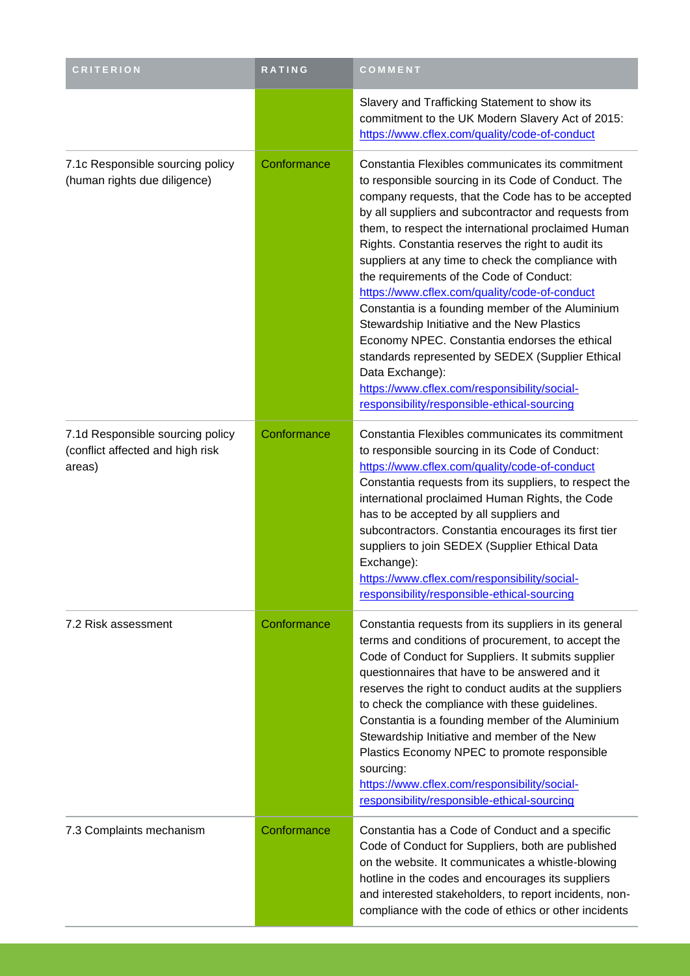| <b>CRITERION</b>                                                               | RATING      | COMMENT                                                                                                                                                                                                                                                                                                                                                                                                                                                                                                                                                                                                                                                                                                                                                                                                         |
|--------------------------------------------------------------------------------|-------------|-----------------------------------------------------------------------------------------------------------------------------------------------------------------------------------------------------------------------------------------------------------------------------------------------------------------------------------------------------------------------------------------------------------------------------------------------------------------------------------------------------------------------------------------------------------------------------------------------------------------------------------------------------------------------------------------------------------------------------------------------------------------------------------------------------------------|
|                                                                                |             | Slavery and Trafficking Statement to show its<br>commitment to the UK Modern Slavery Act of 2015:<br>https://www.cflex.com/quality/code-of-conduct                                                                                                                                                                                                                                                                                                                                                                                                                                                                                                                                                                                                                                                              |
| 7.1c Responsible sourcing policy<br>(human rights due diligence)               | Conformance | Constantia Flexibles communicates its commitment<br>to responsible sourcing in its Code of Conduct. The<br>company requests, that the Code has to be accepted<br>by all suppliers and subcontractor and requests from<br>them, to respect the international proclaimed Human<br>Rights. Constantia reserves the right to audit its<br>suppliers at any time to check the compliance with<br>the requirements of the Code of Conduct:<br>https://www.cflex.com/quality/code-of-conduct<br>Constantia is a founding member of the Aluminium<br>Stewardship Initiative and the New Plastics<br>Economy NPEC. Constantia endorses the ethical<br>standards represented by SEDEX (Supplier Ethical<br>Data Exchange):<br>https://www.cflex.com/responsibility/social-<br>responsibility/responsible-ethical-sourcing |
| 7.1d Responsible sourcing policy<br>(conflict affected and high risk<br>areas) | Conformance | Constantia Flexibles communicates its commitment<br>to responsible sourcing in its Code of Conduct:<br>https://www.cflex.com/quality/code-of-conduct<br>Constantia requests from its suppliers, to respect the<br>international proclaimed Human Rights, the Code<br>has to be accepted by all suppliers and<br>subcontractors. Constantia encourages its first tier<br>suppliers to join SEDEX (Supplier Ethical Data<br>Exchange):<br>https://www.cflex.com/responsibility/social-<br>responsibility/responsible-ethical-sourcing                                                                                                                                                                                                                                                                             |
| 7.2 Risk assessment                                                            | Conformance | Constantia requests from its suppliers in its general<br>terms and conditions of procurement, to accept the<br>Code of Conduct for Suppliers. It submits supplier<br>questionnaires that have to be answered and it<br>reserves the right to conduct audits at the suppliers<br>to check the compliance with these guidelines.<br>Constantia is a founding member of the Aluminium<br>Stewardship Initiative and member of the New<br>Plastics Economy NPEC to promote responsible<br>sourcing:<br>https://www.cflex.com/responsibility/social-<br>responsibility/responsible-ethical-sourcing                                                                                                                                                                                                                  |
| 7.3 Complaints mechanism                                                       | Conformance | Constantia has a Code of Conduct and a specific<br>Code of Conduct for Suppliers, both are published<br>on the website. It communicates a whistle-blowing<br>hotline in the codes and encourages its suppliers<br>and interested stakeholders, to report incidents, non-<br>compliance with the code of ethics or other incidents                                                                                                                                                                                                                                                                                                                                                                                                                                                                               |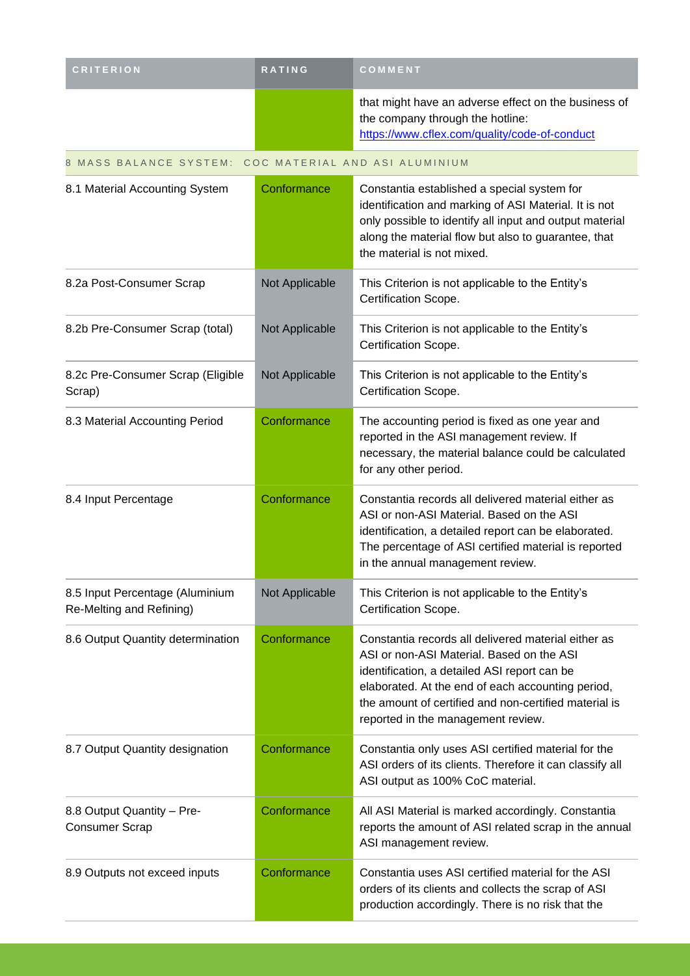| <b>CRITERION</b>                                            | RATING         | COMMENT                                                                                                                                                                                                                                                                                              |
|-------------------------------------------------------------|----------------|------------------------------------------------------------------------------------------------------------------------------------------------------------------------------------------------------------------------------------------------------------------------------------------------------|
|                                                             |                | that might have an adverse effect on the business of<br>the company through the hotline:<br>https://www.cflex.com/quality/code-of-conduct                                                                                                                                                            |
| MASS BALANCE SYSTEM: COC MATERIAL AND ASI ALUMINIUM<br>8    |                |                                                                                                                                                                                                                                                                                                      |
| 8.1 Material Accounting System                              | Conformance    | Constantia established a special system for<br>identification and marking of ASI Material. It is not<br>only possible to identify all input and output material<br>along the material flow but also to guarantee, that<br>the material is not mixed.                                                 |
| 8.2a Post-Consumer Scrap                                    | Not Applicable | This Criterion is not applicable to the Entity's<br>Certification Scope.                                                                                                                                                                                                                             |
| 8.2b Pre-Consumer Scrap (total)                             | Not Applicable | This Criterion is not applicable to the Entity's<br>Certification Scope.                                                                                                                                                                                                                             |
| 8.2c Pre-Consumer Scrap (Eligible<br>Scrap)                 | Not Applicable | This Criterion is not applicable to the Entity's<br>Certification Scope.                                                                                                                                                                                                                             |
| 8.3 Material Accounting Period                              | Conformance    | The accounting period is fixed as one year and<br>reported in the ASI management review. If<br>necessary, the material balance could be calculated<br>for any other period.                                                                                                                          |
| 8.4 Input Percentage                                        | Conformance    | Constantia records all delivered material either as<br>ASI or non-ASI Material. Based on the ASI<br>identification, a detailed report can be elaborated.<br>The percentage of ASI certified material is reported<br>in the annual management review.                                                 |
| 8.5 Input Percentage (Aluminium<br>Re-Melting and Refining) | Not Applicable | This Criterion is not applicable to the Entity's<br>Certification Scope.                                                                                                                                                                                                                             |
| 8.6 Output Quantity determination                           | Conformance    | Constantia records all delivered material either as<br>ASI or non-ASI Material. Based on the ASI<br>identification, a detailed ASI report can be<br>elaborated. At the end of each accounting period,<br>the amount of certified and non-certified material is<br>reported in the management review. |
| 8.7 Output Quantity designation                             | Conformance    | Constantia only uses ASI certified material for the<br>ASI orders of its clients. Therefore it can classify all<br>ASI output as 100% CoC material.                                                                                                                                                  |
| 8.8 Output Quantity - Pre-<br><b>Consumer Scrap</b>         | Conformance    | All ASI Material is marked accordingly. Constantia<br>reports the amount of ASI related scrap in the annual<br>ASI management review.                                                                                                                                                                |
| 8.9 Outputs not exceed inputs                               | Conformance    | Constantia uses ASI certified material for the ASI<br>orders of its clients and collects the scrap of ASI<br>production accordingly. There is no risk that the                                                                                                                                       |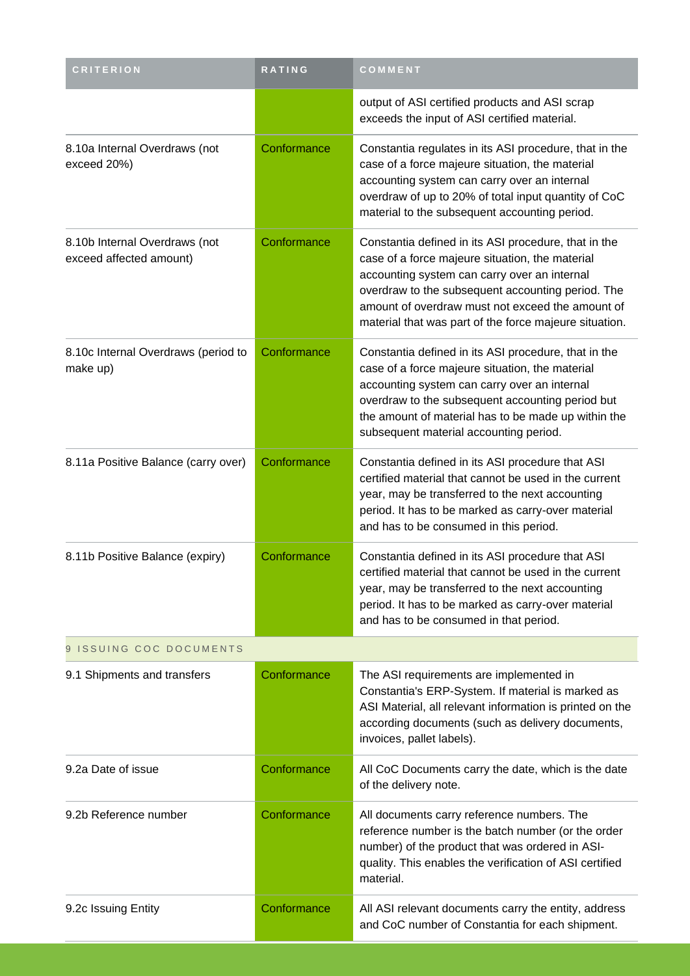| <b>CRITERION</b>                                         | RATING      | COMMENT                                                                                                                                                                                                                                                                                                                    |  |
|----------------------------------------------------------|-------------|----------------------------------------------------------------------------------------------------------------------------------------------------------------------------------------------------------------------------------------------------------------------------------------------------------------------------|--|
|                                                          |             | output of ASI certified products and ASI scrap<br>exceeds the input of ASI certified material.                                                                                                                                                                                                                             |  |
| 8.10a Internal Overdraws (not<br>exceed 20%)             | Conformance | Constantia regulates in its ASI procedure, that in the<br>case of a force majeure situation, the material<br>accounting system can carry over an internal<br>overdraw of up to 20% of total input quantity of CoC<br>material to the subsequent accounting period.                                                         |  |
| 8.10b Internal Overdraws (not<br>exceed affected amount) | Conformance | Constantia defined in its ASI procedure, that in the<br>case of a force majeure situation, the material<br>accounting system can carry over an internal<br>overdraw to the subsequent accounting period. The<br>amount of overdraw must not exceed the amount of<br>material that was part of the force majeure situation. |  |
| 8.10c Internal Overdraws (period to<br>make up)          | Conformance | Constantia defined in its ASI procedure, that in the<br>case of a force majeure situation, the material<br>accounting system can carry over an internal<br>overdraw to the subsequent accounting period but<br>the amount of material has to be made up within the<br>subsequent material accounting period.               |  |
| 8.11a Positive Balance (carry over)                      | Conformance | Constantia defined in its ASI procedure that ASI<br>certified material that cannot be used in the current<br>year, may be transferred to the next accounting<br>period. It has to be marked as carry-over material<br>and has to be consumed in this period.                                                               |  |
| 8.11b Positive Balance (expiry)                          | Conformance | Constantia defined in its ASI procedure that ASI<br>certified material that cannot be used in the current<br>year, may be transferred to the next accounting<br>period. It has to be marked as carry-over material<br>and has to be consumed in that period.                                                               |  |
| 9 ISSUING COC DOCUMENTS                                  |             |                                                                                                                                                                                                                                                                                                                            |  |
| 9.1 Shipments and transfers                              | Conformance | The ASI requirements are implemented in<br>Constantia's ERP-System. If material is marked as<br>ASI Material, all relevant information is printed on the<br>according documents (such as delivery documents,<br>invoices, pallet labels).                                                                                  |  |
| 9.2a Date of issue                                       | Conformance | All CoC Documents carry the date, which is the date<br>of the delivery note.                                                                                                                                                                                                                                               |  |
| 9.2b Reference number                                    | Conformance | All documents carry reference numbers. The<br>reference number is the batch number (or the order<br>number) of the product that was ordered in ASI-<br>quality. This enables the verification of ASI certified<br>material.                                                                                                |  |
| 9.2c Issuing Entity                                      | Conformance | All ASI relevant documents carry the entity, address<br>and CoC number of Constantia for each shipment.                                                                                                                                                                                                                    |  |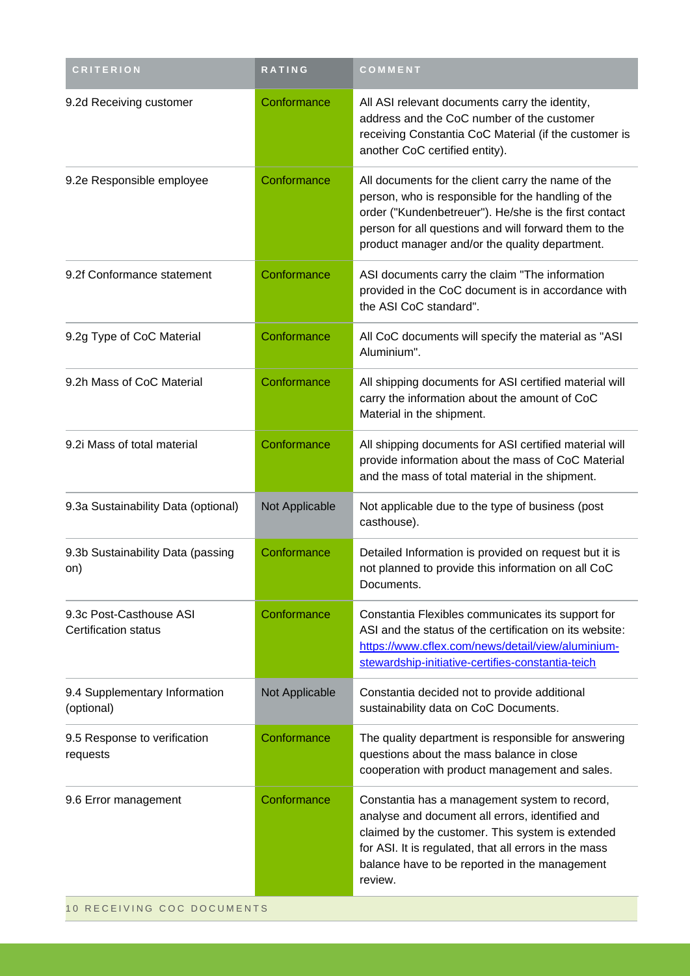| <b>CRITERION</b>                                       | <b>RATING</b>  | COMMENT                                                                                                                                                                                                                                                                      |  |
|--------------------------------------------------------|----------------|------------------------------------------------------------------------------------------------------------------------------------------------------------------------------------------------------------------------------------------------------------------------------|--|
| 9.2d Receiving customer                                | Conformance    | All ASI relevant documents carry the identity,<br>address and the CoC number of the customer<br>receiving Constantia CoC Material (if the customer is<br>another CoC certified entity).                                                                                      |  |
| 9.2e Responsible employee                              | Conformance    | All documents for the client carry the name of the<br>person, who is responsible for the handling of the<br>order ("Kundenbetreuer"). He/she is the first contact<br>person for all questions and will forward them to the<br>product manager and/or the quality department. |  |
| 9.2f Conformance statement                             | Conformance    | ASI documents carry the claim "The information<br>provided in the CoC document is in accordance with<br>the ASI CoC standard".                                                                                                                                               |  |
| 9.2g Type of CoC Material                              | Conformance    | All CoC documents will specify the material as "ASI<br>Aluminium".                                                                                                                                                                                                           |  |
| 9.2h Mass of CoC Material                              | Conformance    | All shipping documents for ASI certified material will<br>carry the information about the amount of CoC<br>Material in the shipment.                                                                                                                                         |  |
| 9.2i Mass of total material                            | Conformance    | All shipping documents for ASI certified material will<br>provide information about the mass of CoC Material<br>and the mass of total material in the shipment.                                                                                                              |  |
| 9.3a Sustainability Data (optional)                    | Not Applicable | Not applicable due to the type of business (post<br>casthouse).                                                                                                                                                                                                              |  |
| 9.3b Sustainability Data (passing<br>on)               | Conformance    | Detailed Information is provided on request but it is<br>not planned to provide this information on all CoC<br>Documents.                                                                                                                                                    |  |
| 9.3c Post-Casthouse ASI<br><b>Certification status</b> | Conformance    | Constantia Flexibles communicates its support for<br>ASI and the status of the certification on its website:<br>https://www.cflex.com/news/detail/view/aluminium-<br>stewardship-initiative-certifies-constantia-teich                                                       |  |
| 9.4 Supplementary Information<br>(optional)            | Not Applicable | Constantia decided not to provide additional<br>sustainability data on CoC Documents.                                                                                                                                                                                        |  |
| 9.5 Response to verification<br>requests               | Conformance    | The quality department is responsible for answering<br>questions about the mass balance in close<br>cooperation with product management and sales.                                                                                                                           |  |
| 9.6 Error management                                   | Conformance    | Constantia has a management system to record,<br>analyse and document all errors, identified and<br>claimed by the customer. This system is extended<br>for ASI. It is regulated, that all errors in the mass<br>balance have to be reported in the management<br>review.    |  |
| 10 RECEIVING COC DOCUMENTS                             |                |                                                                                                                                                                                                                                                                              |  |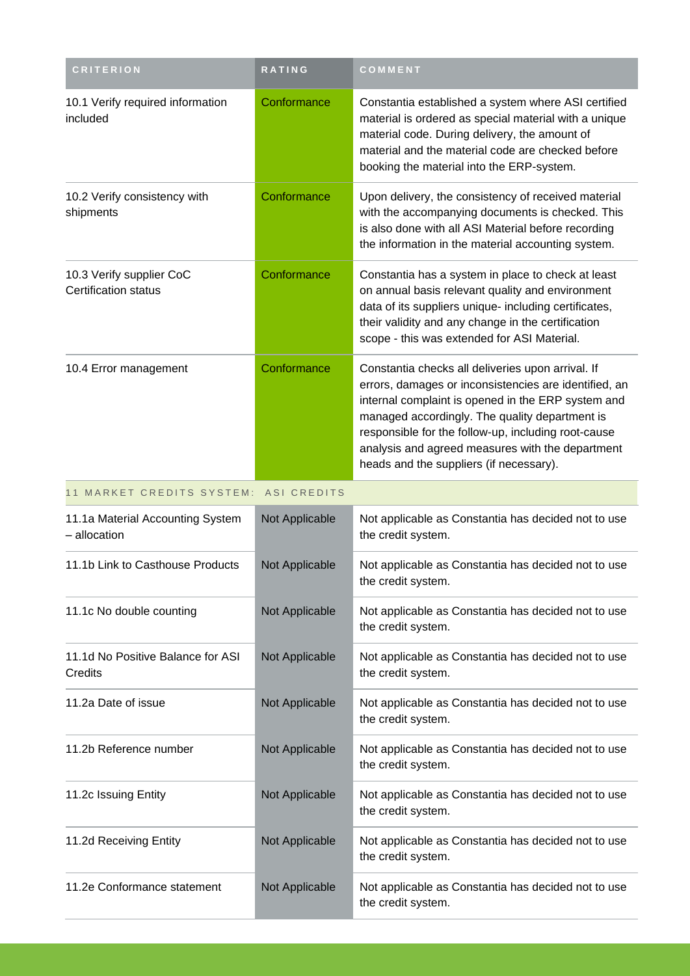| <b>CRITERION</b>                                        | <b>RATING</b>  | COMMENT                                                                                                                                                                                                                                                                                                                                                                  |
|---------------------------------------------------------|----------------|--------------------------------------------------------------------------------------------------------------------------------------------------------------------------------------------------------------------------------------------------------------------------------------------------------------------------------------------------------------------------|
| 10.1 Verify required information<br>included            | Conformance    | Constantia established a system where ASI certified<br>material is ordered as special material with a unique<br>material code. During delivery, the amount of<br>material and the material code are checked before<br>booking the material into the ERP-system.                                                                                                          |
| 10.2 Verify consistency with<br>shipments               | Conformance    | Upon delivery, the consistency of received material<br>with the accompanying documents is checked. This<br>is also done with all ASI Material before recording<br>the information in the material accounting system.                                                                                                                                                     |
| 10.3 Verify supplier CoC<br><b>Certification status</b> | Conformance    | Constantia has a system in place to check at least<br>on annual basis relevant quality and environment<br>data of its suppliers unique- including certificates,<br>their validity and any change in the certification<br>scope - this was extended for ASI Material.                                                                                                     |
| 10.4 Error management                                   | Conformance    | Constantia checks all deliveries upon arrival. If<br>errors, damages or inconsistencies are identified, an<br>internal complaint is opened in the ERP system and<br>managed accordingly. The quality department is<br>responsible for the follow-up, including root-cause<br>analysis and agreed measures with the department<br>heads and the suppliers (if necessary). |
| 11 MARKET CREDITS SYSTEM:                               | ASI CREDITS    |                                                                                                                                                                                                                                                                                                                                                                          |
| 11.1a Material Accounting System<br>- allocation        | Not Applicable | Not applicable as Constantia has decided not to use<br>the credit system.                                                                                                                                                                                                                                                                                                |
| 11.1b Link to Casthouse Products                        | Not Applicable | Not applicable as Constantia has decided not to use<br>the credit system.                                                                                                                                                                                                                                                                                                |
| 11.1c No double counting                                | Not Applicable | Not applicable as Constantia has decided not to use<br>the credit system.                                                                                                                                                                                                                                                                                                |
| 11.1d No Positive Balance for ASI<br>Credits            | Not Applicable | Not applicable as Constantia has decided not to use<br>the credit system.                                                                                                                                                                                                                                                                                                |
| 11.2a Date of issue                                     | Not Applicable | Not applicable as Constantia has decided not to use<br>the credit system.                                                                                                                                                                                                                                                                                                |
| 11.2b Reference number                                  | Not Applicable | Not applicable as Constantia has decided not to use<br>the credit system.                                                                                                                                                                                                                                                                                                |
| 11.2c Issuing Entity                                    | Not Applicable | Not applicable as Constantia has decided not to use<br>the credit system.                                                                                                                                                                                                                                                                                                |
| 11.2d Receiving Entity                                  | Not Applicable | Not applicable as Constantia has decided not to use<br>the credit system.                                                                                                                                                                                                                                                                                                |
| 11.2e Conformance statement                             | Not Applicable | Not applicable as Constantia has decided not to use<br>the credit system.                                                                                                                                                                                                                                                                                                |